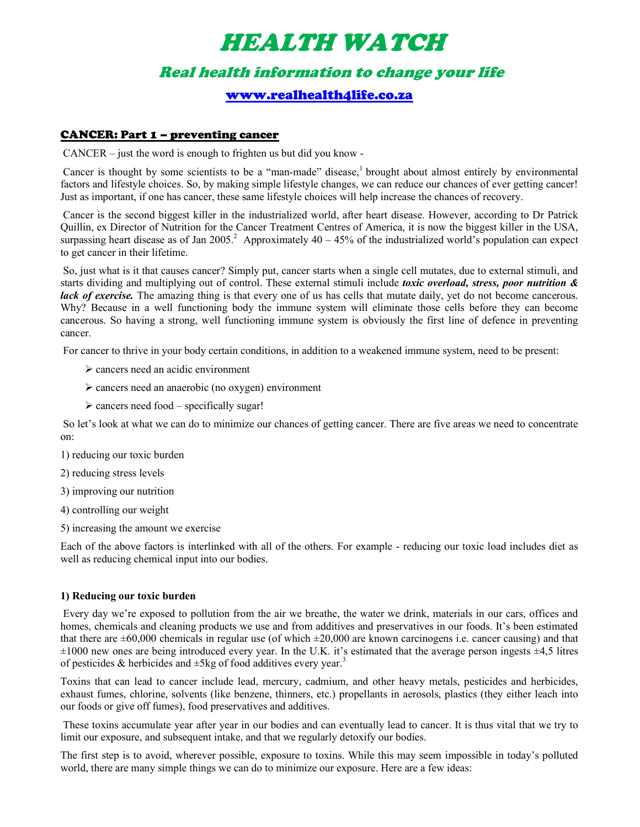# HEALTH WATCH

## Real health information to change your life

www.realhealth4life.co.za

## CANCER: Part 1 – preventing cancer

CANCER – just the word is enough to frighten us but did you know -

Cancer is thought by some scientists to be a "man-made" disease,<sup>1</sup> brought about almost entirely by environmental factors and lifestyle choices. So, by making simple lifestyle changes, we can reduce our chances of ever getting cancer! Just as important, if one has cancer, these same lifestyle choices will help increase the chances of recovery.

 Cancer is the second biggest killer in the industrialized world, after heart disease. However, according to Dr Patrick Quillin, ex Director of Nutrition for the Cancer Treatment Centres of America, it is now the biggest killer in the USA, surpassing heart disease as of Jan 2005.<sup>2</sup> Approximately  $40 - 45\%$  of the industrialized world's population can expect to get cancer in their lifetime.

 So, just what is it that causes cancer? Simply put, cancer starts when a single cell mutates, due to external stimuli, and starts dividing and multiplying out of control. These external stimuli include *toxic overload*, *stress, poor nutrition &* lack of exercise. The amazing thing is that every one of us has cells that mutate daily, yet do not become cancerous. Why? Because in a well functioning body the immune system will eliminate those cells before they can become cancerous. So having a strong, well functioning immune system is obviously the first line of defence in preventing cancer.

For cancer to thrive in your body certain conditions, in addition to a weakened immune system, need to be present:

- $\triangleright$  cancers need an acidic environment
- $\triangleright$  cancers need an anaerobic (no oxygen) environment
- $\triangleright$  cancers need food specifically sugar!

 So let's look at what we can do to minimize our chances of getting cancer. There are five areas we need to concentrate on:

1) reducing our toxic burden

- 2) reducing stress levels
- 3) improving our nutrition
- 4) controlling our weight
- 5) increasing the amount we exercise

Each of the above factors is interlinked with all of the others. For example - reducing our toxic load includes diet as well as reducing chemical input into our bodies.

#### 1) Reducing our toxic burden

 Every day we're exposed to pollution from the air we breathe, the water we drink, materials in our cars, offices and homes, chemicals and cleaning products we use and from additives and preservatives in our foods. It's been estimated that there are  $\pm 60,000$  chemicals in regular use (of which  $\pm 20,000$  are known carcinogens i.e. cancer causing) and that ±1000 new ones are being introduced every year. In the U.K. it's estimated that the average person ingests ±4,5 litres of pesticides & herbicides and  $\pm$ 5kg of food additives every year.<sup>3</sup>

Toxins that can lead to cancer include lead, mercury, cadmium, and other heavy metals, pesticides and herbicides, exhaust fumes, chlorine, solvents (like benzene, thinners, etc.) propellants in aerosols, plastics (they either leach into our foods or give off fumes), food preservatives and additives.

 These toxins accumulate year after year in our bodies and can eventually lead to cancer. It is thus vital that we try to limit our exposure, and subsequent intake, and that we regularly detoxify our bodies.

The first step is to avoid, wherever possible, exposure to toxins. While this may seem impossible in today's polluted world, there are many simple things we can do to minimize our exposure. Here are a few ideas: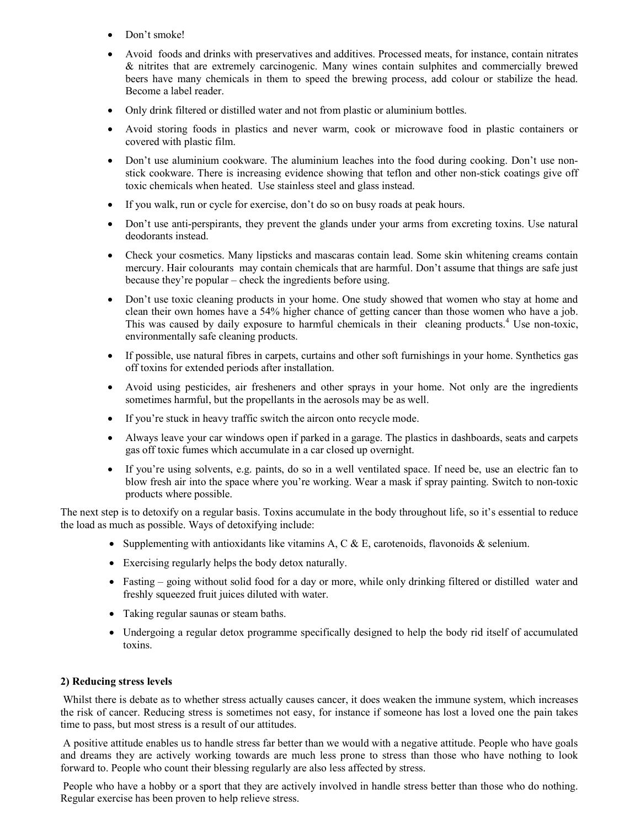- Don't smoke!
- Avoid foods and drinks with preservatives and additives. Processed meats, for instance, contain nitrates & nitrites that are extremely carcinogenic. Many wines contain sulphites and commercially brewed beers have many chemicals in them to speed the brewing process, add colour or stabilize the head. Become a label reader.
- Only drink filtered or distilled water and not from plastic or aluminium bottles.
- Avoid storing foods in plastics and never warm, cook or microwave food in plastic containers or covered with plastic film.
- Don't use aluminium cookware. The aluminium leaches into the food during cooking. Don't use nonstick cookware. There is increasing evidence showing that teflon and other non-stick coatings give off toxic chemicals when heated. Use stainless steel and glass instead.
- If you walk, run or cycle for exercise, don't do so on busy roads at peak hours.
- Don't use anti-perspirants, they prevent the glands under your arms from excreting toxins. Use natural deodorants instead.
- Check your cosmetics. Many lipsticks and mascaras contain lead. Some skin whitening creams contain mercury. Hair colourants may contain chemicals that are harmful. Don't assume that things are safe just because they're popular – check the ingredients before using.
- Don't use toxic cleaning products in your home. One study showed that women who stay at home and clean their own homes have a 54% higher chance of getting cancer than those women who have a job. This was caused by daily exposure to harmful chemicals in their cleaning products.<sup>4</sup> Use non-toxic, environmentally safe cleaning products.
- If possible, use natural fibres in carpets, curtains and other soft furnishings in your home. Synthetics gas off toxins for extended periods after installation.
- Avoid using pesticides, air fresheners and other sprays in your home. Not only are the ingredients sometimes harmful, but the propellants in the aerosols may be as well.
- If you're stuck in heavy traffic switch the aircon onto recycle mode.
- Always leave your car windows open if parked in a garage. The plastics in dashboards, seats and carpets gas off toxic fumes which accumulate in a car closed up overnight.
- If you're using solvents, e.g. paints, do so in a well ventilated space. If need be, use an electric fan to blow fresh air into the space where you're working. Wear a mask if spray painting. Switch to non-toxic products where possible.

The next step is to detoxify on a regular basis. Toxins accumulate in the body throughout life, so it's essential to reduce the load as much as possible. Ways of detoxifying include:

- Supplementing with antioxidants like vitamins A, C & E, carotenoids, flavonoids & selenium.
- Exercising regularly helps the body detox naturally.
- Fasting going without solid food for a day or more, while only drinking filtered or distilled water and freshly squeezed fruit juices diluted with water.
- Taking regular saunas or steam baths.
- Undergoing a regular detox programme specifically designed to help the body rid itself of accumulated toxins.

#### 2) Reducing stress levels

 Whilst there is debate as to whether stress actually causes cancer, it does weaken the immune system, which increases the risk of cancer. Reducing stress is sometimes not easy, for instance if someone has lost a loved one the pain takes time to pass, but most stress is a result of our attitudes.

 A positive attitude enables us to handle stress far better than we would with a negative attitude. People who have goals and dreams they are actively working towards are much less prone to stress than those who have nothing to look forward to. People who count their blessing regularly are also less affected by stress.

 People who have a hobby or a sport that they are actively involved in handle stress better than those who do nothing. Regular exercise has been proven to help relieve stress.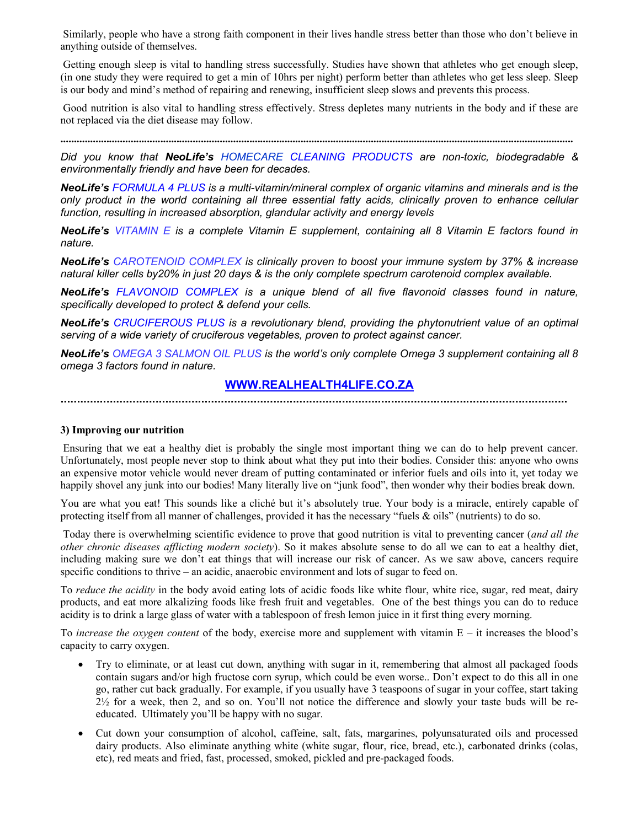Similarly, people who have a strong faith component in their lives handle stress better than those who don't believe in anything outside of themselves.

 Getting enough sleep is vital to handling stress successfully. Studies have shown that athletes who get enough sleep, (in one study they were required to get a min of 10hrs per night) perform better than athletes who get less sleep. Sleep is our body and mind's method of repairing and renewing, insufficient sleep slows and prevents this process.

 Good nutrition is also vital to handling stress effectively. Stress depletes many nutrients in the body and if these are not replaced via the diet disease may follow.

..............................................................................................................................................................................................

Did you know that NeoLife's HOMECARE CLEANING PRODUCTS are non-toxic, biodegradable & environmentally friendly and have been for decades.

NeoLife's FORMULA 4 PLUS is a multi-vitamin/mineral complex of organic vitamins and minerals and is the only product in the world containing all three essential fatty acids, clinically proven to enhance cellular function, resulting in increased absorption, glandular activity and energy levels

NeoLife's VITAMIN E is a complete Vitamin E supplement, containing all 8 Vitamin E factors found in nature.

**NeoLife's** CAROTENOID COMPLEX is clinically proven to boost your immune system by 37% & increase natural killer cells by20% in just 20 days & is the only complete spectrum carotenoid complex available.

NeoLife's FLAVONOID COMPLEX is a unique blend of all five flavonoid classes found in nature, specifically developed to protect & defend your cells.

NeoLife's CRUCIFEROUS PLUS is a revolutionary blend, providing the phytonutrient value of an optimal serving of a wide variety of cruciferous vegetables, proven to protect against cancer.

NeoLife's OMEGA 3 SALMON OIL PLUS is the world's only complete Omega 3 supplement containing all 8 omega 3 factors found in nature.

## WWW.REALHEALTH4LIFE.CO.ZA

...........................................................................................................................................................

#### 3) Improving our nutrition

 Ensuring that we eat a healthy diet is probably the single most important thing we can do to help prevent cancer. Unfortunately, most people never stop to think about what they put into their bodies. Consider this: anyone who owns an expensive motor vehicle would never dream of putting contaminated or inferior fuels and oils into it, yet today we happily shovel any junk into our bodies! Many literally live on "junk food", then wonder why their bodies break down.

You are what you eat! This sounds like a cliché but it's absolutely true. Your body is a miracle, entirely capable of protecting itself from all manner of challenges, provided it has the necessary "fuels & oils" (nutrients) to do so.

Today there is overwhelming scientific evidence to prove that good nutrition is vital to preventing cancer (and all the other chronic diseases afflicting modern society). So it makes absolute sense to do all we can to eat a healthy diet, including making sure we don't eat things that will increase our risk of cancer. As we saw above, cancers require specific conditions to thrive – an acidic, anaerobic environment and lots of sugar to feed on.

To reduce the acidity in the body avoid eating lots of acidic foods like white flour, white rice, sugar, red meat, dairy products, and eat more alkalizing foods like fresh fruit and vegetables. One of the best things you can do to reduce acidity is to drink a large glass of water with a tablespoon of fresh lemon juice in it first thing every morning.

To *increase the oxygen content* of the body, exercise more and supplement with vitamin  $E - i t$  increases the blood's capacity to carry oxygen.

- Try to eliminate, or at least cut down, anything with sugar in it, remembering that almost all packaged foods contain sugars and/or high fructose corn syrup, which could be even worse.. Don't expect to do this all in one go, rather cut back gradually. For example, if you usually have 3 teaspoons of sugar in your coffee, start taking 2½ for a week, then 2, and so on. You'll not notice the difference and slowly your taste buds will be reeducated. Ultimately you'll be happy with no sugar.
- Cut down your consumption of alcohol, caffeine, salt, fats, margarines, polyunsaturated oils and processed dairy products. Also eliminate anything white (white sugar, flour, rice, bread, etc.), carbonated drinks (colas, etc), red meats and fried, fast, processed, smoked, pickled and pre-packaged foods.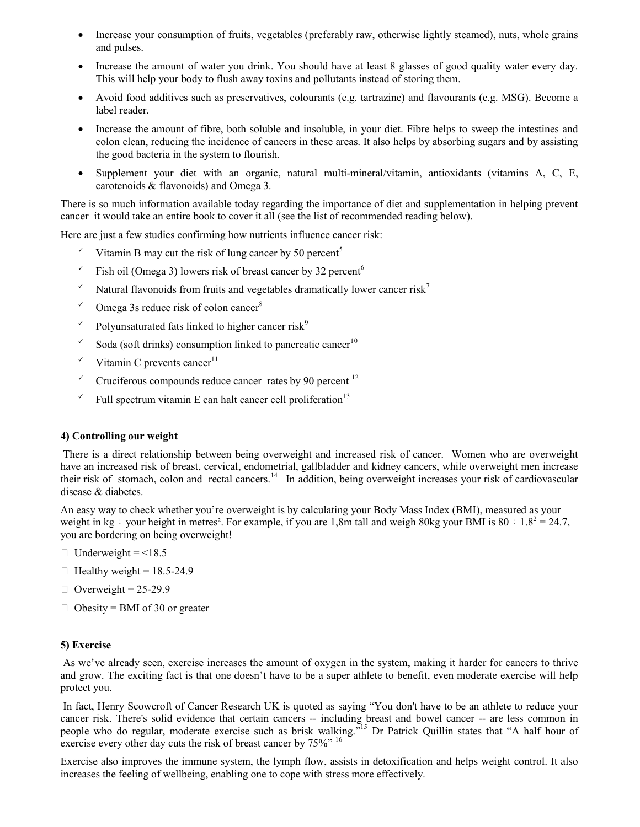- Increase your consumption of fruits, vegetables (preferably raw, otherwise lightly steamed), nuts, whole grains and pulses.
- Increase the amount of water you drink. You should have at least 8 glasses of good quality water every day. This will help your body to flush away toxins and pollutants instead of storing them.
- Avoid food additives such as preservatives, colourants (e.g. tartrazine) and flavourants (e.g. MSG). Become a label reader.
- Increase the amount of fibre, both soluble and insoluble, in your diet. Fibre helps to sweep the intestines and colon clean, reducing the incidence of cancers in these areas. It also helps by absorbing sugars and by assisting the good bacteria in the system to flourish.
- Supplement your diet with an organic, natural multi-mineral/vitamin, antioxidants (vitamins A, C, E, carotenoids & flavonoids) and Omega 3.

There is so much information available today regarding the importance of diet and supplementation in helping prevent cancer it would take an entire book to cover it all (see the list of recommended reading below).

Here are just a few studies confirming how nutrients influence cancer risk:

- Vitamin B may cut the risk of lung cancer by 50 percent<sup>5</sup>
- Fish oil (Omega 3) lowers risk of breast cancer by 32 percent<sup>6</sup>
- $\sim$  Natural flavonoids from fruits and vegetables dramatically lower cancer risk<sup>7</sup>
- $\sim$  Omega 3s reduce risk of colon cancer<sup>8</sup>
- Polyunsaturated fats linked to higher cancer risk<sup>9</sup>
- $\sim$  Soda (soft drinks) consumption linked to pancreatic cancer<sup>10</sup>
- $\checkmark$  Vitamin C prevents cancer<sup>11</sup>
- $\sim$  Cruciferous compounds reduce cancer rates by 90 percent<sup>12</sup>
- Full spectrum vitamin E can halt cancer cell proliferation<sup>13</sup>

### 4) Controlling our weight

 There is a direct relationship between being overweight and increased risk of cancer. Women who are overweight have an increased risk of breast, cervical, endometrial, gallbladder and kidney cancers, while overweight men increase their risk of stomach, colon and rectal cancers.<sup>14</sup> In addition, being overweight increases your risk of cardiovascular disease & diabetes.

An easy way to check whether you're overweight is by calculating your Body Mass Index (BMI), measured as your weight in kg ÷ your height in metres<sup>2</sup>. For example, if you are 1,8m tall and weigh 80kg your BMI is  $80 \div 1.8^2 = 24.7$ , you are bordering on being overweight!

- $\Box$  Underweight = <18.5
- $\Box$  Healthy weight = 18.5-24.9
- $\Box$  Overweight = 25-29.9
- $\Box$  Obesity = BMI of 30 or greater

#### 5) Exercise

 As we've already seen, exercise increases the amount of oxygen in the system, making it harder for cancers to thrive and grow. The exciting fact is that one doesn't have to be a super athlete to benefit, even moderate exercise will help protect you.

 In fact, Henry Scowcroft of Cancer Research UK is quoted as saying "You don't have to be an athlete to reduce your cancer risk. There's solid evidence that certain cancers -- including breast and bowel cancer -- are less common in people who do regular, moderate exercise such as brisk walking.<sup>"15</sup> Dr Patrick Quillin states that "A half hour of exercise every other day cuts the risk of breast cancer by 75%" 16

Exercise also improves the immune system, the lymph flow, assists in detoxification and helps weight control. It also increases the feeling of wellbeing, enabling one to cope with stress more effectively.